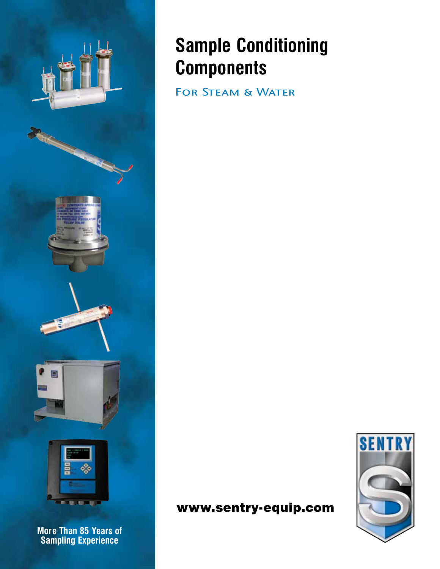

**More Than 85 Years of Sampling Experience**

# **Sample Conditioning Components**

FOR STEAM & WATER

# **SENTRY**

www.sentry-equip.com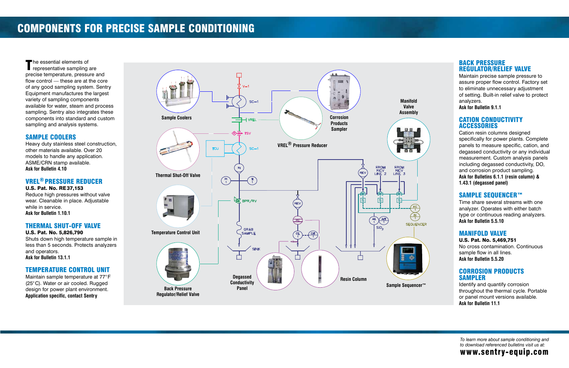The essential elements of<br>
representative sampling are precise temperature, pressure and flow control  $-$  these are at the core of any good sampling system. Sentry Equipment manufactures the largest variety of sampling components available for water, steam and process sampling. Sentry also integrates these components into standard and custom components into standard and custom sampling and analysis systems.

Heavy duty stainless steel construction, other materials available. Over 20 other materials available. Over 20 models to handle any application. ASME/CRN stamp available. **Ask for Bulletin 4.10**

#### SAMPLE COOLERS

Maintain sample temperature at 77°F (25°C). Water or air cooled. Rugged design for power plant environment. design for power plant environment. **Application specific, contact Sentry**

#### VREL® PRESSURE REDUCER

Maintain precise sample pressure to<br>assure proper flow control. Factory set assure proper flow control. Factory set to eliminate unnecessary adjustment of setting. Built-in relief valve to protect

U.S. Pat. No. RE37,153 Reduce high pressures without valve wear. Cleanable in place. Adjustable while in service. **Ask for Bulletin 1.10.1**

#### THERMAL SHUT-OFF VALVE

U.S. Pat. No. 5,826,790

Cation resin columns designed<br>specifically for power plants. Complete panels to measure specific, cation, and degassed conductivity or any individual measurement. Custom analysis panels including degassed conductivity, DO, and corrosion product sampling. and corrosion product sampling. **Ask for Bulletins 6.1.1 (resin column) & 1.43.1 (degassed panel)**

### SAMPLE SEQUENCER™

Shuts down high temperature sample in less than 5 seconds. Protects analyzers and operators. **Ask for Bulletin 13.1.1**

#### TEMPERATURE CONTROL UNIT

Time share several streams with one<br>analyzer. Operates with either batch analyzer. Operates with either batch type or continuous reading analyzers. **Ask for Bulletin 5.5.10**

No cross contamination. Continuous<br>sample flow in all lines. sample flow in all lines. **Ask for Bulletin 5.5.20**

### Corrosion Products **SAMPLER**

Identify and quantify corrosion<br>throughout the thermal cycle. Portable throughout the thermal cycle. Portable or panel mount versions available. **Ask for Bulletin 11.1**

#### BACK PRESSURE REGULATOR/RELIEF VALVE

analyzers. **Ask for Bulletin 9.1.1**

#### CATION CONDUCTIVITY ACCESSORIES

## MANIFOLD VALVE

U.S. Pat. No. 5,469,751

# Components For Precise Sample Conditioning



*To learn more about sample conditioning and to download referenced bulletins visit us at:*

www.sentry-equip.com